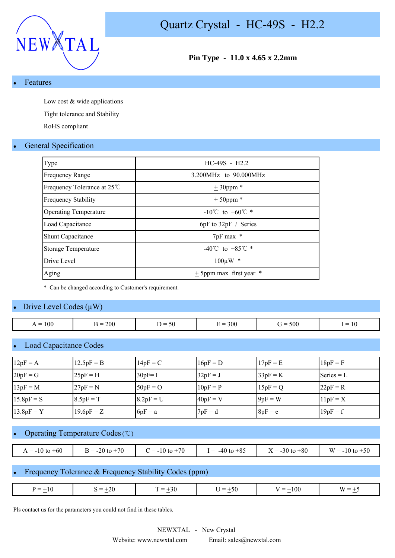

**Pin Type - 11.0 x 4.65 x 2.2mm**

#### **Features**

Low cost & wide applications

Tight tolerance and Stability

RoHS compliant

#### **General Specification**

| Type                         | $HC-49S - H2.2$                      |
|------------------------------|--------------------------------------|
| <b>Frequency Range</b>       | 3.200MHz to 90.000MHz                |
| Frequency Tolerance at 25 °C | $± 30$ ppm $*$                       |
| <b>Frequency Stability</b>   | $± 50$ ppm *                         |
| <b>Operating Temperature</b> | $-10^{\circ}$ C to $+60^{\circ}$ C * |
| Load Capacitance             | $6pF$ to $32pF /$ Series             |
| <b>Shunt Capacitance</b>     | 7pF max *                            |
| Storage Temperature          | $-40^{\circ}$ C to $+85^{\circ}$ C * |
| Drive Level                  | $100 \mu W$ *                        |
| Aging                        | $+$ 5ppm max first year              |

\* Can be changed according to Customer's requirement.

#### Drive Level Codes  $(\mu W)$

| $= 100$<br>▵<br>$  -$ | 200<br>$\sim$ $\sim$ | $\overline{\phantom{0}}$<br>. .<br>.JU<br>$ -$ | 300<br>$\overline{\phantom{a}}$<br>- - - | 500 | $\overline{\phantom{a}}$<br>$ -$ |
|-----------------------|----------------------|------------------------------------------------|------------------------------------------|-----|----------------------------------|
|                       |                      |                                                |                                          |     |                                  |

#### **Load Capacitance Codes**

| $12pF = A$   | $12.5pF = B$ | $14pF = C$  | $16pF = D$ | $17pF = E$ | $18pF = F$   |
|--------------|--------------|-------------|------------|------------|--------------|
| $20pF = G$   | $25pF = H$   | $30pF = I$  | $32pF = J$ | $33pF = K$ | $Series = L$ |
| $13pF = M$   | $27pF = N$   | $50pF = O$  | $10pF = P$ | $15pF = Q$ | $22pF = R$   |
| $15.8pF = S$ | $8.5pF = T$  | $8.2pF = U$ | $40pF = V$ | $9pF = W$  | $11pF = X$   |
| $13.8pF = Y$ | $19.6pF = Z$ | $6pF = a$   | $7pF = d$  | $8pF = e$  | $19pF = f$   |

#### Operating Temperature Codes (℃)

| $A = -10$ to $+60$ | $= -20$ to $+70$ | $2 = -10$ to $+70$ | $-40$ to $+85$<br>$=$ | $X = -30$ to $+80$ | $W = -10$ to $+50$ |
|--------------------|------------------|--------------------|-----------------------|--------------------|--------------------|

#### Frequency Tolerance & Frequency Stability Codes (ppm)

| $-20$<br>00،<br>$=$<br>-50<br>$\overline{\phantom{0}}$<br>_<br>–<br>- 11<br>7.JU<br>$\overline{\phantom{a}}$<br>$\sim$<br>$\sim$<br>$\sim$ |
|--------------------------------------------------------------------------------------------------------------------------------------------|
|--------------------------------------------------------------------------------------------------------------------------------------------|

Pls contact us for the parameters you could not find in these tables.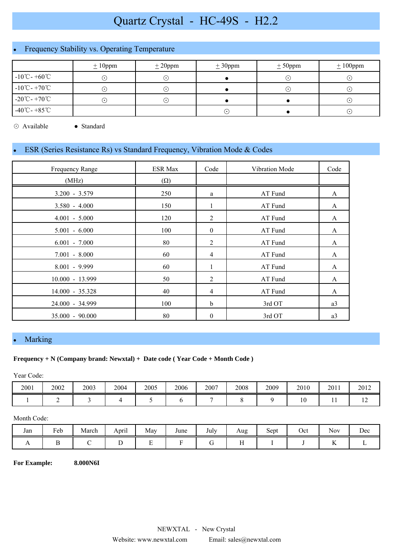# Quartz Crystal - HC-49S - H2.2

## Frequency Stability vs. Operating Temperature

|                                   | $\pm 10$ ppm  | $\pm 20$ ppm | $\pm 30$ ppm | $\pm$ 50ppm      | $\pm 100$ ppm |
|-----------------------------------|---------------|--------------|--------------|------------------|---------------|
| $-10^{\circ}$ C - $+60^{\circ}$ C | $(\,\cdot\,)$ | $(\bullet)$  |              | ( • )            | ( •           |
| $-10^{\circ}$ C - $+70^{\circ}$ C | $(\cdot)$     | $\cdot$ )    |              | $(\; \cdot \; )$ | ( •           |
| $-20^{\circ}$ C - $+70^{\circ}$ C | $(\cdot)$     | ۰.)          |              |                  | $\cdot$       |
| $-40^{\circ}$ C - $+85^{\circ}$ C |               |              | ٠.           |                  | $\cdot$       |

⊙ Available ● Standard

#### ESR (Series Resistance Rs) vs Standard Frequency, Vibration Mode & Codes

| Frequency Range   | <b>ESR Max</b> | Code             | Vibration Mode | Code |
|-------------------|----------------|------------------|----------------|------|
| (MHz)             | $(\Omega)$     |                  |                |      |
| $3.200 - 3.579$   | 250            | a                | AT Fund        | A    |
| $3.580 - 4.000$   | 150            | 1                | AT Fund        | A    |
| $4.001 - 5.000$   | 120            | $\overline{2}$   | AT Fund        | A    |
| $5.001 - 6.000$   | 100            | $\mathbf{0}$     | AT Fund        | A    |
| $6.001 - 7.000$   | 80             | $\overline{2}$   | AT Fund        | A    |
| $7.001 - 8.000$   | 60             | 4                | AT Fund        | A    |
| $8.001 - 9.999$   | 60             |                  | AT Fund        | A    |
| 10.000 - 13.999   | 50             | 2                | AT Fund        | A    |
| 14.000 - 35.328   | 40             | 4                | AT Fund        | A    |
| 24.000 - 34.999   | 100            | $\mathbf b$      | 3rd OT         | a3   |
| $35.000 - 90.000$ | 80             | $\boldsymbol{0}$ | 3rd OT         | a3   |

#### **Marking**

#### **Frequency + N (Company brand: Newxtal) + Date code ( Year Code + Month Code )**

Year Code:

| 2001 | 2002 | 2003 | 2004 | 2005 | 2006 | 2007 | 2008 | 2009 | 2010 | 2011 | 2012           |
|------|------|------|------|------|------|------|------|------|------|------|----------------|
|      |      |      |      |      |      |      |      |      | 1 V  | . .  | $\overline{1}$ |

#### Month Code:

| Jan | Feb | March | $\cdot$ .<br>April | May    | June | <b>T</b> 1<br>July | Aug         | $\tilde{\phantom{a}}$<br>Sept | Oct | $\sim$ $\sim$<br><b>Nov</b> | Dec |
|-----|-----|-------|--------------------|--------|------|--------------------|-------------|-------------------------------|-----|-----------------------------|-----|
| . . |     |       | ∸                  | -<br>∸ |      |                    | $ -$<br>. . |                               |     | $\overline{\mathbf{r}}$     |     |

**For Example: 8.000N6I**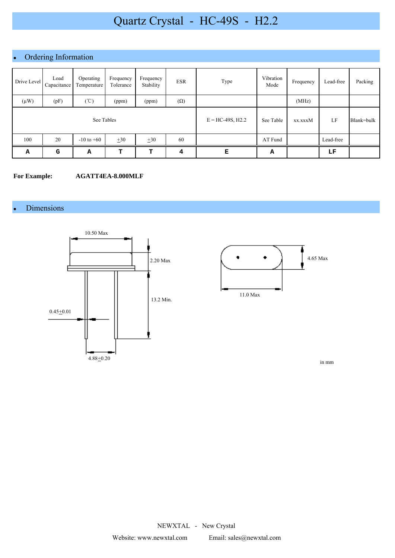# Quartz Crystal - HC-49S - H2.2

## • Ordering Information

| Drive Level | Load<br>Capacitance | Operating<br>Temperature | Frequency<br>Tolerance | Frequency<br>Stability | <b>ESR</b>         | Type      | Vibration<br>Mode | Frequency | Lead-free  | Packing |
|-------------|---------------------|--------------------------|------------------------|------------------------|--------------------|-----------|-------------------|-----------|------------|---------|
| $(\mu W)$   | (pF)                | $(\degree C)$            | (ppm)                  | (ppm)                  | $(\Omega)$         |           |                   | (MHz)     |            |         |
|             |                     | See Tables               |                        |                        | $E = HC-49S, H2.2$ | See Table | xx.xxxM           | LF        | Blank=bulk |         |
| 100         | 20                  | $-10$ to $+60$           | $+30$                  | $\pm 30$               | 60                 |           | AT Fund           |           | Lead-free  |         |
| Α           | G                   | А                        | т                      | т                      | 4                  | Е         | А                 |           | LF         |         |

#### **For Example: AGATT4EA-8.000MLF**

#### **Dimensions**





in mm